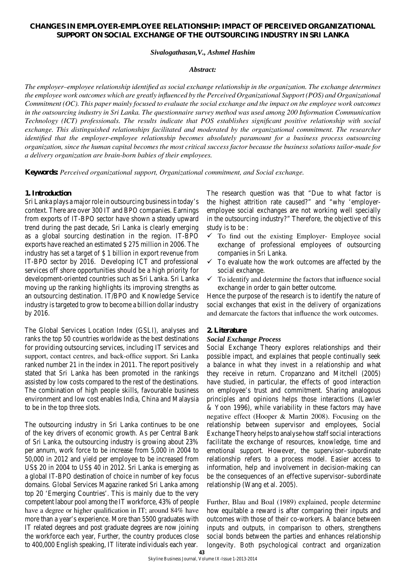# **CHANGES IN EMPLOYER-EMPLOYEE RELATIONSHIP: IMPACT OF PERCEIVED ORGANIZATIONAL SUPPORT ON SOCIAL EXCHANGE OF THE OUTSOURCING INDUSTRY IN SRI LANKA**

### *Sivalogathasan,V., Ashmel Hashim*

#### *Abstract:*

*The employer–employee relationship identified as social exchange relationship in the organization. The exchange determines the employee work outcomes which are greatly influenced by the Perceived Organizational Support (POS) and Organizational Commitment (OC). This paper mainly focused to evaluate the social exchange and the impact on the employee work outcomes in the outsourcing industry in Sri Lanka. The questionnaire survey method was used among 200 Information Communication Technology (ICT) professionals. The results indicate that POS establishes significant positive relationship with social exchange. This distinguished relationships facilitated and moderated by the organizational commitment. The researcher identified that the employer-employee relationship becomes absolutely paramount for a business process outsourcing organization, since the human capital becomes the most critical success factor because the business solutions tailor-made for a delivery organization are brain-born babies of their employees.* 

**Keywords:** *Perceived organizational support, Organizational commitment, and Social exchange.*

## **1. Introduction**

Sri Lanka plays a major role in outsourcing business in today's context. There are over 300 IT and BPO companies. Earnings from exports of IT-BPO sector have shown a steady upward trend during the past decade, Sri Lanka is clearly emerging as a global sourcing destination in the region. IT-BPO exports have reached an estimated \$ 275 million in 2006. The industry has set a target of \$ 1 billion in export revenue from IT-BPO sector by 2016. Developing ICT and professional services off shore opportunities should be a high priority for development-oriented countries such as Sri Lanka. Sri Lanka moving up the ranking highlights its improving strengths as an outsourcing destination. IT/BPO and Knowledge Service industry is targeted to grow to become a billion dollar industry by 2016.

The Global Services Location Index (GSLI), analyses and ranks the top 50 countries worldwide as the best destinations for providing outsourcing services, including IT services and support, contact centres, and back-office support. Sri Lanka ranked number 21 in the index in 2011. The report positively stated that Sri Lanka has been promoted in the rankings assisted by low costs compared to the rest of the destinations. The combination of high people skills, favourable business environment and low cost enables India, China and Malaysia to be in the top three slots.

The outsourcing industry in Sri Lanka continues to be one of the key drivers of economic growth. As per Central Bank of Sri Lanka, the outsourcing industry is growing about 23% per annum, work force to be increase from 5,000 in 2004 to 50,000 in 2012 and yield per employee to be increased from US\$ 20 in 2004 to US\$ 40 in 2012. Sri Lanka is emerging as a global IT-BPO destination of choice in number of key focus domains. Global Services Magazine ranked Sri Lanka among top 20 'Emerging Countries'. This is mainly due to the very competent labour pool among the IT workforce, 43% of people have a degree or higher qualification in IT; around 84% have more than a year's experience. More than 5500 graduates with IT related degrees and post graduate degrees are now joining the workforce each year, Further, the country produces close to 400,000 English speaking, IT literate individuals each year.

The research question was that "Due to what factor is the highest attrition rate caused?" and "why 'employeremployee social exchanges are not working well specially in the outsourcing industry?" Therefore, the objective of this study is to be :

- $\checkmark$  To find out the existing Employer- Employee social exchange of professional employees of outsourcing companies in Sri Lanka.
- $\checkmark$  To evaluate how the work outcomes are affected by the social exchange.
- $\checkmark$  To identify and determine the factors that influence social exchange in order to gain better outcome.

Hence the purpose of the research is to identify the nature of social exchanges that exist in the delivery of organizations and demarcate the factors that influence the work outcomes.

### **2. Literature**

#### *Social Exchange Process*

Social Exchange Theory explores relationships and their possible impact, and explaines that people continually seek a balance in what they invest in a relationship and what they receive in return. Cropanzano and Mitchell (2005) have studied, in particular, the effects of good interaction on employee's trust and commitment. Sharing analogous principles and opinions helps those interactions (Lawler & Yoon 1996), while variability in these factors may have negative effect (Hooper & Martin 2008). Focusing on the relationship between supervisor and employees, Social Exchange Theory helps to analyse how staff social interactions facilitate the exchange of resources, knowledge, time and emotional support. However, the supervisor–subordinate relationship refers to a process model. Easier access to information, help and involvement in decision-making can be the consequences of an effective supervisor–subordinate relationship (Wang et al. 2005).

Further, Blau and Boal (1989) explained, people determine how equitable a reward is after comparing their inputs and outcomes with those of their co-workers. A balance between inputs and outputs, in comparison to others, strengthens social bonds between the parties and enhances relationship longevity. Both psychological contract and organization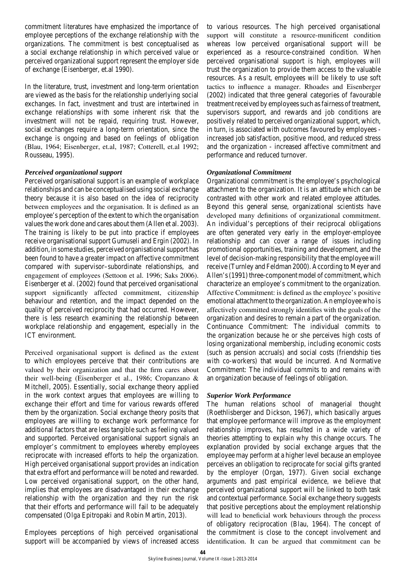commitment literatures have emphasized the importance of employee perceptions of the exchange relationship with the organizations. The commitment is best conceptualised as a social exchange relationship in which perceived value or perceived organizational support represent the employer side of exchange (Eisenberger, et.al 1990).

In the literature, trust, investment and long-term orientation are viewed as the basis for the relationship underlying social exchanges. In fact, investment and trust are intertwined in exchange relationships with some inherent risk that the investment will not be repaid, requiring trust. However, social exchanges require a long-term orientation, since the exchange is ongoing and based on feelings of obligation (Blau, 1964; Eisenberger, et.al, 1987; Cotterell, et.al 1992; Rousseau, 1995).

## *Perceived organizational support*

Perceived organisational support is an example of workplace relationships and can be conceptualised using social exchange theory because it is also based on the idea of reciprocity between employees and the organisation. It is defined as an employee's perception of the extent to which the organisation values the work done and cares about them (Allen et al. 2003). The training is likely to be put into practice if employees receive organisational support Gumuseli and Ergin (2002). In addition, in some studies, perceived organisational support has been found to have a greater impact on affective commitment compared with supervisor–subordinate relationships, and engagement of employees (Settoon et al. 1996; Saks 2006). Eisenberger et al. (2002) found that perceived organisational support significantly affected commitment, citizenship behaviour and retention, and the impact depended on the quality of perceived reciprocity that had occurred. However, there is less research examining the relationship between workplace relationship and engagement, especially in the ICT environment.

Perceived organisational support is defined as the extent to which employees perceive that their contributions are valued by their organization and that the firm cares about their well-being (Eisenberger et al., 1986; Cropanzano & Mitchell, 2005). Essentially, social exchange theory applied in the work context argues that employees are willing to exchange their effort and time for various rewards offered them by the organization. Social exchange theory posits that employees are willing to exchange work performance for additional factors that are less tangible such as feeling valued and supported. Perceived organisational support signals an employer's commitment to employees whereby employees reciprocate with increased efforts to help the organization. High perceived organisational support provides an indication that extra effort and performance will be noted and rewarded. Low perceived organisational support, on the other hand, implies that employees are disadvantaged in their exchange relationship with the organization and they run the risk that their efforts and performance will fail to be adequately compensated (Olga Epitropaki and Robin Martin, 2013).

Employees perceptions of high perceived organisational support will be accompanied by views of increased access

to various resources. The high perceived organisational support will constitute a resource-munificent condition whereas low perceived organisational support will be experienced as a resource-constrained condition. When perceived organisational support is high, employees will trust the organization to provide them access to the valuable resources. As a result, employees will be likely to use soft tactics to influence a manager. Rhoades and Eisenberger (2002) indicated that three general categories of favourable treatment received by employees such as fairness of treatment, supervisors support, and rewards and job conditions are positively related to perceived organizational support, which, in turn, is associated with outcomes favoured by employees increased job satisfaction, positive mood, and reduced stress and the organization - increased affective commitment and performance and reduced turnover.

# *Organizational Commitment*

Organizational commitment is the employee's psychological attachment to the organization. It is an attitude which can be contrasted with other work and related employee attitudes. Beyond this general sense, organizational scientists have developed many definitions of organizational commitment. An individual's perceptions of their reciprocal obligations are often generated very early in the employer-employee relationship and can cover a range of issues including promotional opportunities, training and development, and the level of decision-making responsibility that the employee will receive (Turnley and Feldman 2000). According to Meyer and Allen's (1991) three-component model of commitment, which characterize an employee's commitment to the organization. Affective Commitment: is defined as the employee's positive emotional attachment to the organization. An employee who is affectively committed strongly identifies with the goals of the organization and desires to remain a part of the organization. Continuance Commitment: The individual commits to the organization because he or she perceives high costs of losing organizational membership, including economic costs (such as pension accruals) and social costs (friendship ties with co-workers) that would be incurred. And Normative Commitment: The individual commits to and remains with an organization because of feelings of obligation.

# *Superior Work Performance*

The human relations school of managerial thought (Roethlisberger and Dickson, 1967), which basically argues that employee performance will improve as the employment relationship improves, has resulted in a wide variety of theories attempting to explain why this change occurs. The explanation provided by social exchange argues that the employee may perform at a higher level because an employee perceives an obligation to reciprocate for social gifts granted by the employer (Organ, 1977). Given social exchange arguments and past empirical evidence, we believe that perceived organizational support will be linked to both task and contextual performance. Social exchange theory suggests that positive perceptions about the employment relationship will lead to beneficial work behaviours through the process of obligatory reciprocation (Blau, 1964). The concept of the commitment is close to the concept involvement and identification. It can be argued that commitment can be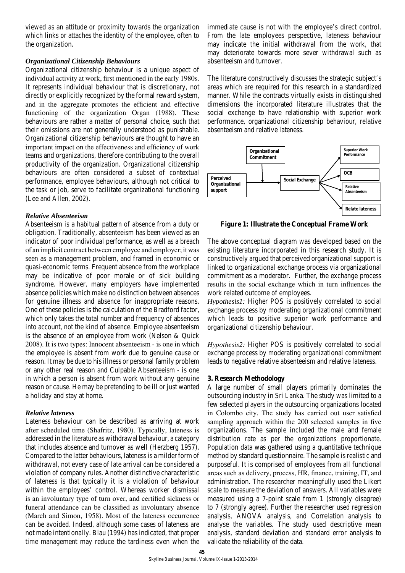viewed as an attitude or proximity towards the organization which links or attaches the identity of the employee, often to the organization.

## *Organizational Citizenship Behaviours*

Organizational citizenship behaviour is a unique aspect of individual activity at work, first mentioned in the early 1980s. It represents individual behaviour that is discretionary, not directly or explicitly recognized by the formal reward system, and in the aggregate promotes the efficient and effective functioning of the organization Organ (1988). These behaviours are rather a matter of personal choice, such that their omissions are not generally understood as punishable. Organizational citizenship behaviours are thought to have an important impact on the effectiveness and efficiency of work teams and organizations, therefore contributing to the overall productivity of the organization. Organizational citizenship behaviours are often considered a subset of contextual performance, employee behaviours, although not critical to the task or job, serve to facilitate organizational functioning (Lee and Allen, 2002).

#### *Relative Absenteeism*

Absenteeism is a habitual pattern of absence from a duty or obligation. Traditionally, absenteeism has been viewed as an indicator of poor individual performance, as well as a breach of an implicit contract between employee and employer; it was seen as a management problem, and framed in economic or quasi-economic terms. Frequent absence from the workplace may be indicative of poor morale or of sick building syndrome. However, many employers have implemented absence policies which make no distinction between absences for genuine illness and absence for inappropriate reasons. One of these policies is the calculation of the Bradford factor, which only takes the total number and frequency of absences into account, not the kind of absence. Employee absenteeism is the absence of an employee from work (Nelson & Quick 2008). It is two types: Innocent absenteeism - is one in which the employee is absent from work due to genuine cause or reason. It may be due to his illness or personal family problem or any other real reason and Culpable Absenteeism - is one in which a person is absent from work without any genuine reason or cause. He may be pretending to be ill or just wanted a holiday and stay at home.

## *Relative lateness*

Lateness behaviour can be described as arriving at work after scheduled time (Shafritz, 1980). Typically, lateness is addressed in the literature as withdrawal behaviour, a category that includes absence and turnover as well (Herzberg 1957). Compared to the latter behaviours, lateness is a milder form of withdrawal, not every case of late arrival can be considered a violation of company rules. Another distinctive characteristic of lateness is that typically it is a violation of behaviour within the employees' control. Whereas worker dismissal is an involuntary type of turn over, and certified sickness or funeral attendance can be classified as involuntary absence (March and Simon, 1958). Most of the lateness occurrence can be avoided. Indeed, although some cases of lateness are not made intentionally. Blau (1994) has indicated, that proper time management may reduce the tardiness even when the immediate cause is not with the employee's direct control. From the late employees perspective, lateness behaviour may indicate the initial withdrawal from the work, that may deteriorate towards more sever withdrawal such as absenteeism and turnover.

The literature constructively discusses the strategic subject's areas which are required for this research in a standardized manner. While the contracts virtually exists in distinguished dimensions the incorporated literature illustrates that the social exchange to have relationship with superior work performance, organizational citizenship behaviour, relative absenteeism and relative lateness.



**Figure 1: Illustrate the Conceptual Frame Work**

The above conceptual diagram was developed based on the existing literature incorporated in this research study. It is constructively argued that perceived organizational support is linked to organizational exchange process via organizational commitment as a moderator. Further, the exchange process results in the social exchange which in turn influences the work related outcome of employees.

*Hypothesis1:* Higher POS is positively correlated to social exchange process by moderating organizational commitment which leads to positive superior work performance and organizational citizenship behaviour.

*Hypothesis2:* Higher POS is positively correlated to social exchange process by moderating organizational commitment leads to negative relative absenteeism and relative lateness.

## **3. Research Methodology**

A large number of small players primarily dominates the outsourcing industry in Sri Lanka. The study was limited to a few selected players in the outsourcing organizations located in Colombo city. The study has carried out user satisfied sampling approach within the 200 selected samples in five organizations. The sample included the male and female distribution rate as per the organizations proportionate. Population data was gathered using a quantitative technique method by standard questionnaire. The sample is realistic and purposeful. It is comprised of employees from all functional areas such as delivery, process, HR, finance, training, IT, and administration. The researcher meaningfully used the Likert scale to measure the deviation of answers. All variables were measured using a 7-point scale from 1 (strongly disagree) to 7 (strongly agree). Further the researcher used regression analysis, ANOVA analysis, and Correlation analysis to analyse the variables. The study used descriptive mean analysis, standard deviation and standard error analysis to validate the reliability of the data.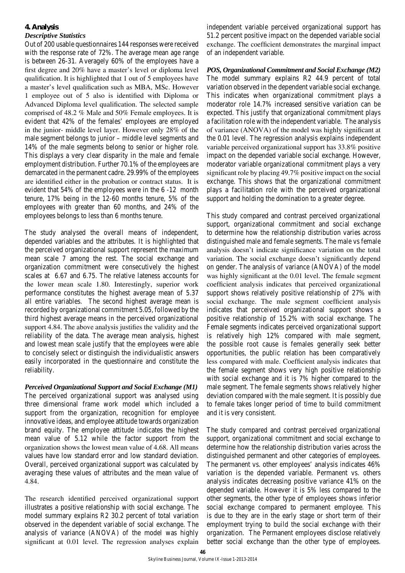## **4. Analysis**

# *Descriptive Statistics*

Out of 200 usable questionnaires 144 responses were received with the response rate of 72%. The average mean age range is between 26-31. Averagely 60% of the employees have a first degree and 20% have a master's level or diploma level qualification. It is highlighted that 1 out of 5 employees have a master's level qualification such as MBA, MSc. However 1 employee out of 5 also is identified with Diploma or Advanced Diploma level qualification. The selected sample comprised of 48.2 % Male and 50% Female employees. It is evident that 42% of the females' employees are employed in the junior- middle level layer. However only 28% of the male segment belongs to junior – middle level segments and 14% of the male segments belong to senior or higher role. This displays a very clear disparity in the male and female employment distribution. Further 70.1% of the employees are demarcated in the permanent cadre. 29.99% of the employees are identified either in the probation or contract status. It is evident that 54% of the employees were in the 6 -12 month tenure, 17% being in the 12-60 months tenure, 5% of the employees with greater than 60 months, and 24% of the employees belongs to less than 6 months tenure.

The study analysed the overall means of independent, depended variables and the attributes. It is highlighted that the perceived organizational support represent the maximum mean scale 7 among the rest. The social exchange and organization commitment were consecutively the highest scales at 6.67 and 6.75. The relative lateness accounts for the lower mean scale 1.80. Interestingly, superior work performance constitutes the highest average mean of 5.37 all entire variables. The second highest average mean is recorded by organizational commitment 5.05, followed by the third highest average means in the perceived organizational support 4.84. The above analysis justifies the validity and the reliability of the data. The average mean analysis, highest and lowest mean scale justify that the employees were able to concisely select or distinguish the individualistic answers easily incorporated in the questionnaire and constitute the reliability.

*Perceived Organizational Support and Social Exchange (M1)*

The perceived organizational support was analysed using three dimensional frame work model which included a support from the organization, recognition for employee innovative ideas, and employee attitude towards organization brand equity. The employee attitude indicates the highest mean value of 5.12 while the factor support from the organization shows the lowest mean value of 4.68. All means values have low standard error and low standard deviation. Overall, perceived organizational support was calculated by averaging these values of attributes and the mean value of 4.84.

The research identified perceived organizational support illustrates a positive relationship with social exchange. The model summary explains R2 30.2 percent of total variation observed in the dependent variable of social exchange. The analysis of variance (ANOVA) of the model was highly significant at 0.01 level. The regression analyses explain independent variable perceived organizational support has 51.2 percent positive impact on the depended variable social exchange. The coefficient demonstrates the marginal impact of an independent variable.

*POS, Organizational Commitment and Social Exchange (M2)*  The model summary explains R2 44.9 percent of total variation observed in the dependent variable social exchange. This indicates when organizational commitment plays a moderator role 14.7% increased sensitive variation can be expected. This justify that organizational commitment plays a facilitation role with the independent variable. The analysis of variance (ANOVA) of the model was highly significant at the 0.01 level. The regression analysis explains independent variable perceived organizational support has 33.8% positive impact on the depended variable social exchange. However, moderator variable organizational commitment plays a very significant role by placing 49.7% positive impact on the social exchange. This shows that the organizational commitment plays a facilitation role with the perceived organizational support and holding the domination to a greater degree.

This study compared and contrast perceived organizational support, organizational commitment and social exchange to determine how the relationship distribution varies across distinguished male and female segments. The male vs female analysis doesn't indicate significance variation on the total variation. The social exchange doesn't significantly depend on gender. The analysis of variance (ANOVA) of the model was highly significant at the 0.01 level. The female segment coefficient analysis indicates that perceived organizational support shows relatively positive relationship of 27% with social exchange. The male segment coefficient analysis indicates that perceived organizational support shows a positive relationship of 15.2% with social exchange. The Female segments indicates perceived organizational support is relatively high 12% compared with male segment, the possible root cause is females generally seek better opportunities, the public relation has been comparatively less compared with male. Coefficient analysis indicates that the female segment shows very high positive relationship with social exchange and it is 7% higher compared to the male segment. The female segments shows relatively higher deviation compared with the male segment. It is possibly due to female takes longer period of time to build commitment and it is very consistent.

The study compared and contrast perceived organizational support, organizational commitment and social exchange to determine how the relationship distribution varies across the distinguished permanent and other categories of employees. The permanent vs. other employees' analysis indicates 46% variation is the depended variable. Permanent vs. others analysis indicates decreasing positive variance 41% on the depended variable. However it is 5% less compared to the other segments, the other type of employees shows inferior social exchange compared to permanent employee. This is due to they are in the early stage or short term of their employment trying to build the social exchange with their organization. The Permanent employees disclose relatively better social exchange than the other type of employees.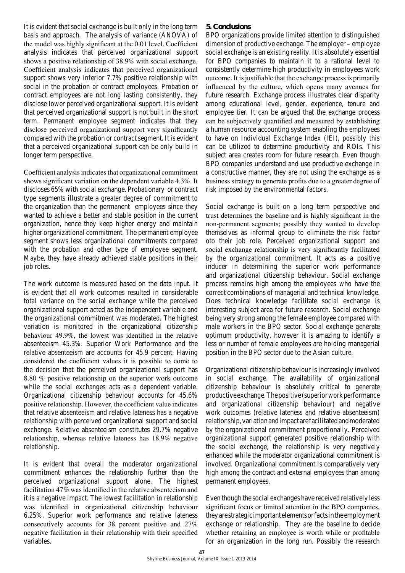It is evident that social exchange is built only in the long term basis and approach. The analysis of variance (ANOVA) of the model was highly significant at the 0.01 level. Coefficient analysis indicates that perceived organizational support shows a positive relationship of 38.9% with social exchange, Coefficient analysis indicates that perceived organizational support shows very inferior 7.7% positive relationship with social in the probation or contract employees. Probation or contract employees are not long lasting consistently, they disclose lower perceived organizational support. It is evident that perceived organizational support is not built in the short term. Permanent employee segment indicates that they disclose perceived organizational support very significantly compared with the probation or contract segment. It is evident that a perceived organizational support can be only build in longer term perspective.

Coefficient analysis indicates that organizational commitment shows significant variation on the dependent variable 4.3%. It discloses 65% with social exchange. Probationary or contract type segments illustrate a greater degree of commitment to the organization than the permanent employees since they wanted to achieve a better and stable position in the current organization, hence they keep higher energy and maintain higher organizational commitment. The permanent employee segment shows less organizational commitments compared with the probation and other type of employee segment. Maybe, they have already achieved stable positions in their job roles.

The work outcome is measured based on the data input. It is evident that all work outcomes resulted in considerable total variance on the social exchange while the perceived organizational support acted as the independent variable and the organizational commitment was moderated. The highest variation is monitored in the organizational citizenship behaviour 49.9%, the lowest was identified in the relative absenteeism 45.3%. Superior Work Performance and the relative absenteeism are accounts for 45.9 percent. Having considered the coefficient values it is possible to come to the decision that the perceived organizational support has 8.80 % positive relationship on the superior work outcome while the social exchanges acts as a dependent variable. Organizational citizenship behaviour accounts for 45.6% positive relationship. However, the coefficient value indicates that relative absenteeism and relative lateness has a negative relationship with perceived organizational support and social exchange. Relative absenteeism constitutes 29.7% negative relationship, whereas relative lateness has 18.9% negative relationship.

It is evident that overall the moderator organizational commitment enhances the relationship further than the perceived organizational support alone. The highest facilitation 47% was identified in the relative absenteeism and it is a negative impact. The lowest facilitation in relationship was identified in organizational citizenship behaviour 6.25%. Superior work performance and relative lateness consecutively accounts for 38 percent positive and 27% negative facilitation in their relationship with their specified variables.

# **5. Conclusions**

BPO organizations provide limited attention to distinguished dimension of productive exchange. The employer – employee social exchange is an existing reality. It is absolutely essential for BPO companies to maintain it to a rational level to consistently determine high productivity in employees work outcome. It is justifiable that the exchange process is primarily influenced by the culture, which opens many avenues for future research. Exchange process illustrates clear disparity among educational level, gender, experience, tenure and employee tier. It can be argued that the exchange process can be subjectively quantified and measured by establishing a human resource accounting system enabling the employees to have on Individual Exchange Index (IEI), possibly this can be utilized to determine productivity and ROIs. This subject area creates room for future research. Even though BPO companies understand and use productive exchange in a constructive manner, they are not using the exchange as a business strategy to generate profits due to a greater degree of risk imposed by the environmental factors.

Social exchange is built on a long term perspective and trust determines the baseline and is highly significant in the non-permanent segments; possibly they wanted to develop themselves as informal group to eliminate the risk factor oto their job role. Perceived organizational support and social exchange relationship is very significantly facilitated by the organizational commitment. It acts as a positive inducer in determining the superior work performance and organizational citizenship behaviour. Social exchange process remains high among the employees who have the correct combinations of managerial and technical knowledge. Does technical knowledge facilitate social exchange is interesting subject area for future research. Social exchange being very strong among the female employee compared with male workers in the BPO sector. Social exchange generate optimum productivity, however it is amazing to identify a less or number of female employees are holding managerial position in the BPO sector due to the Asian culture.

Organizational citizenship behaviour is increasingly involved in social exchange. The availability of organizational citizenship behaviour is absolutely critical to generate productive exchange. The positive (superior work performance and organizational citizenship behaviour) and negative work outcomes (relative lateness and relative absenteeism) relationship, variation and impact are facilitated and moderated by the organizational commitment proportionally. Perceived organizational support generated positive relationship with the social exchange, the relationship is very negatively enhanced while the moderator organizational commitment is involved. Organizational commitment is comparatively very high among the contract and external employees than among permanent employees.

Even though the social exchanges have received relatively less significant focus or limited attention in the BPO companies, they are strategic important elements or facts in the employment exchange or relationship. They are the baseline to decide whether retaining an employee is worth while or profitable for an organization in the long run. Possibly the research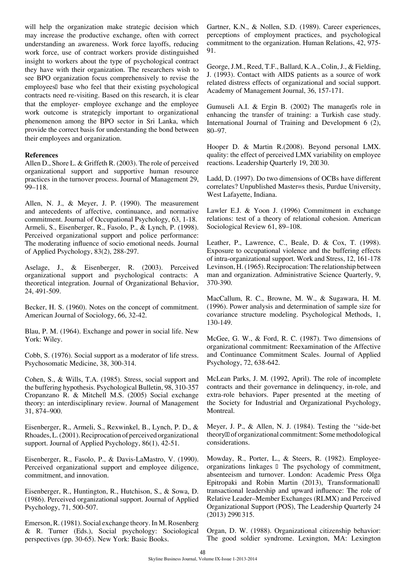will help the organization make strategic decision which may increase the productive exchange, often with correct understanding an awareness. Work force layoffs, reducing work force, use of contract workers provide distinguished insight to workers about the type of psychological contract they have with their organization. The researchers wish to see BPO organization focus comprehensively to revise the employees' base who feel that their existing psychological contracts need re-visiting. Based on this research, it is clear that the employer- employee exchange and the employee work outcome is strategicly important to organizational phenomenon among the BPO sector in Sri Lanka, which provide the correct basis for understanding the bond between their employees and organization.

## **References**

Allen D., Shore L. & Griffeth R. (2003). The role of perceived organizational support and supportive human resource practices in the turnover process. Journal of Management 29, 99–118.

Allen, N. J., & Meyer, J. P. (1990). The measurement and antecedents of affective, continuance, and normative commitment. Journal of Occupational Psychology, 63, 1-18. Armeli, S., Eisenberger, R., Fasolo, P., & Lynch, P. (1998). Perceived organizational support and police performance: The moderating influence of socio emotional needs. Journal of Applied Psychology, 83(2), 288-297.

Aselage, J., & Eisenberger, R. (2003). Perceived organizational support and psychological contracts: A theoretical integration. Journal of Organizational Behavior, 24, 491-509.

Becker, H. S. (1960). Notes on the concept of commitment. American Journal of Sociology, 66, 32-42.

Blau, P. M. (1964). Exchange and power in social life. New York: Wiley.

Cobb, S. (1976). Social support as a moderator of life stress. Psychosomatic Medicine, 38, 300-314.

Cohen, S., & Wills, T.A. (1985). Stress, social support and the buffering hypothesis. Psychological Bulletin, 98, 310-357 Cropanzano R. & Mitchell M.S. (2005) Social exchange theory: an interdisciplinary review. Journal of Management 31, 874–900.

Eisenberger, R., Armeli, S., Rexwinkel, B., Lynch, P. D., & Rhoades, L. (2001). Reciprocation of perceived organizational support. Journal of Applied Psychology, 86(1), 42-51.

Eisenberger, R., Fasolo, P., & Davis-LaMastro, V. (1990). Perceived organizational support and employee diligence, commitment, and innovation.

Eisenberger, R., Huntington, R., Hutchison, S., & Sowa, D. (1986). Perceived organizational support. Journal of Applied Psychology, 71, 500-507.

Emerson, R. (1981). Social exchange theory. In M. Rosenberg & R. Turner (Eds.), Social psychology: Sociological perspectives (pp. 30-65). New York: Basic Books.

Gartner, K.N., & Nollen, S.D. (1989). Career experiences, perceptions of employment practices, and psychological commitment to the organization. Human Relations, 42, 975- 91.

George, J.M., Reed, T.F., Ballard, K.A., Colin, J., & Fielding, J. (1993). Contact with AIDS patients as a source of work related distress effects of organizational and social support. Academy of Management Journal, 36, 157-171.

Gumuseli A.I. & Ergin B. (2002) The manager's role in enhancing the transfer of training: a Turkish case study. International Journal of Training and Development 6 (2), 80–97.

Hooper D. & Martin R.(2008). Beyond personal LMX. quality: the effect of perceived LMX variability on employee reactions. Leadership Quarterly 19, 20–30.

Ladd, D. (1997). Do two dimensions of OCBs have different correlates? Unpublished Master=s thesis, Purdue University, West Lafayette, Indiana.

Lawler E.J. & Yoon J. (1996) Commitment in exchange relations: test of a theory of relational cohesion. American Sociological Review 61, 89–108.

Leather, P., Lawrence, C., Beale, D. & Cox, T. (1998). Exposure to occupational violence and the buffering effects of intra-organizational support. Work and Stress, 12, 161-178 Levinson, H. (1965). Reciprocation: The relationship between man and organization. Administrative Science Quarterly, 9, 370-390.

MacCallum, R. C., Browne, M. W., & Sugawara, H. M. (1996). Power analysis and determination of sample size for covariance structure modeling. Psychological Methods, 1, 130-149.

McGee, G. W., & Ford, R. C. (1987). Two dimensions of organizational commitment: Reexamination of the Affective and Continuance Commitment Scales. Journal of Applied Psychology, 72, 638-642.

McLean Parks, J. M. (1992, April). The role of incomplete contracts and their governance in delinquency, in-role, and extra-role behaviors. Paper presented at the meeting of the Society for Industrial and Organizational Psychology, Montreal.

Meyer, J. P., & Allen, N. J. (1984). Testing the ''side-bet theory'' of organizational commitment: Some methodological considerations.

Mowday, R., Porter, L., & Steers, R. (1982). Employeeorganizations linkages – The psychology of commitment, absenteeism and turnover. London: Academic Press Olga Epitropaki and Robin Martin (2013), Transformational– transactional leadership and upward influence: The role of Relative Leader–Member Exchanges (RLMX) and Perceived Organizational Support (POS), The Leadership Quarterly 24 (2013) 299–315.

Organ, D. W. (1988). Organizational citizenship behavior: The good soldier syndrome. Lexington, MA: Lexington